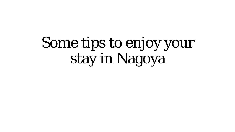# Some tips to enjoy your stay in Nagoya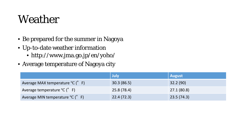#### Weather

- Be prepared for the summer in Nagoya
- Up-to-date weather information
	- http://www.jma.go.jp/en/yoho/
- Average temperature of Nagoya city

|                                                     | July        | <b>August</b> |
|-----------------------------------------------------|-------------|---------------|
| Average MAX temperature °C (°F)                     | 30.3(86.5)  | 32.2(90)      |
| Average temperature ${}^{\circ}C$ ( ${}^{\circ}$ F) | 25.8 (78.4) | 27.1 (80.8)   |
| Average MIN temperature °C (°F)                     | 22.4(72.3)  | 23.5(74.3)    |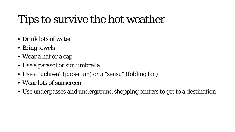### Tips to survive the hot weather

- Drink lots of water
- Bring towels
- Wear a hat or a cap
- Use a parasol or sun umbrella
- Use a "uchiwa" (paper fan) or a "sensu" (folding fan)
- Wear lots of sunscreen
- Use underpasses and underground shopping centers to get to a destination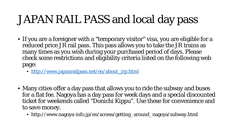### JAPAN RAIL PASS and local day pass

- If you are a foreigner with a "temporary visitor" visa, you are eligible for a reduced price JR rail pass. This pass allows you to take the JR trains as many times as you wish during your purchased period of days. Please check some restrictions and eligibility criteria listed on the following web page:
	- [http://www.japanrailpass.net/en/about\\_jrp.html](http://www.japanrailpass.net/en/about_jrp.html)
- Many cities offer a day pass that allows you to ride the subway and buses for a flat fee. Nagoya has a day pass for week days and a special discounted ticket for weekends called "Donichi Kippu". Use these for convenience and to save money.
	- http://www.nagoya-info.jp/en/access/getting\_around\_nagoya/subway.html